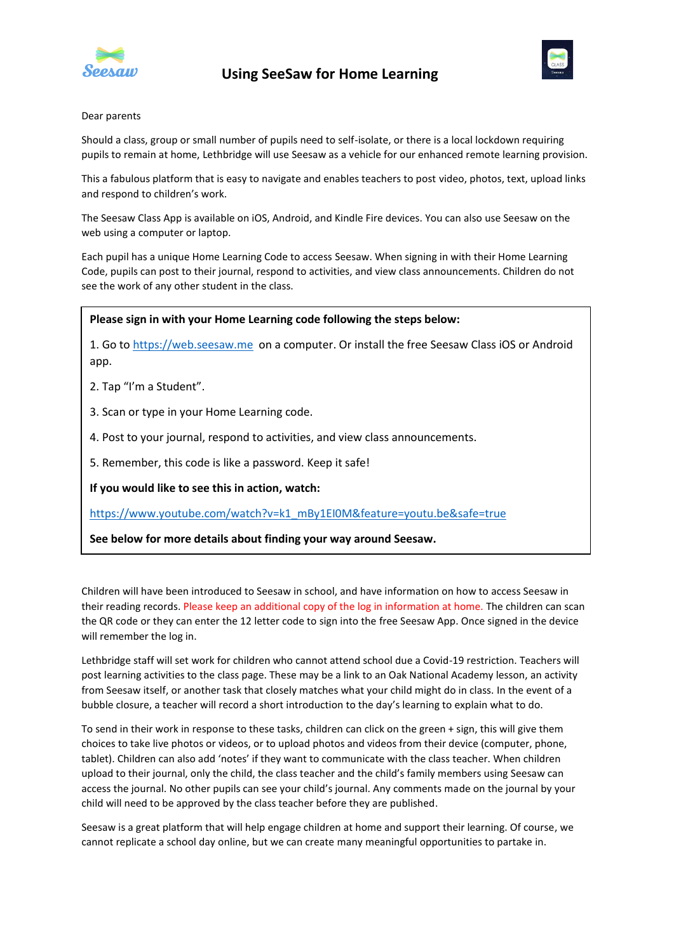

# **Using SeeSaw for Home Learning**



## Dear parents

Should a class, group or small number of pupils need to self-isolate, or there is a local lockdown requiring pupils to remain at home, Lethbridge will use Seesaw as a vehicle for our enhanced remote learning provision.

This a fabulous platform that is easy to navigate and enables teachers to post video, photos, text, upload links and respond to children's work.

The Seesaw Class App is available on iOS, Android, and Kindle Fire devices. You can also use Seesaw on the web using a computer or laptop.

Each pupil has a unique Home Learning Code to access Seesaw. When signing in with their Home Learning Code, pupils can post to their journal, respond to activities, and view class announcements. Children do not see the work of any other student in the class.

## **Please sign in with your Home Learning code following the steps below:**

1. Go to [https://web.seesaw.me](https://web.seesaw.me/) on a computer. Or install the free Seesaw Class iOS or Android app.

2. Tap "I'm a Student".

3. Scan or type in your Home Learning code.

4. Post to your journal, respond to activities, and view class announcements.

5. Remember, this code is like a password. Keep it safe!

**If you would like to see this in action, watch:**

[https://www.youtube.com/watch?v=k1\\_mBy1EI0M&feature=youtu.be&safe=true](https://www.youtube.com/watch?v=k1_mBy1EI0M&feature=youtu.be&safe=true)

**See below for more details about finding your way around Seesaw.**

Children will have been introduced to Seesaw in school, and have information on how to access Seesaw in their reading records. Please keep an additional copy of the log in information at home. The children can scan the QR code or they can enter the 12 letter code to sign into the free Seesaw App. Once signed in the device will remember the log in.

Lethbridge staff will set work for children who cannot attend school due a Covid-19 restriction. Teachers will post learning activities to the class page. These may be a link to an Oak National Academy lesson, an activity from Seesaw itself, or another task that closely matches what your child might do in class. In the event of a bubble closure, a teacher will record a short introduction to the day's learning to explain what to do.

To send in their work in response to these tasks, children can click on the green + sign, this will give them choices to take live photos or videos, or to upload photos and videos from their device (computer, phone, tablet). Children can also add 'notes' if they want to communicate with the class teacher. When children upload to their journal, only the child, the class teacher and the child's family members using Seesaw can access the journal. No other pupils can see your child's journal. Any comments made on the journal by your child will need to be approved by the class teacher before they are published.

Seesaw is a great platform that will help engage children at home and support their learning. Of course, we cannot replicate a school day online, but we can create many meaningful opportunities to partake in.